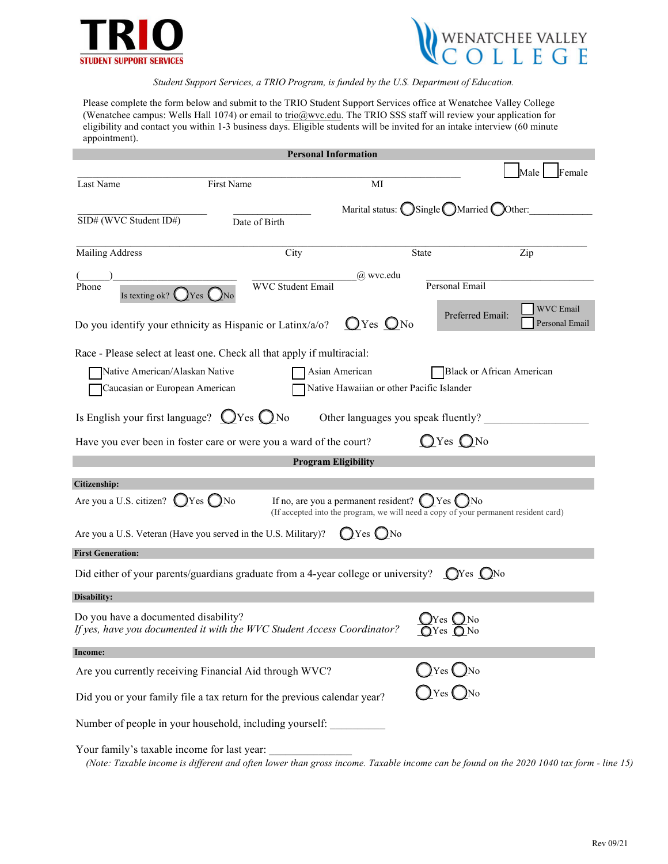



*Student Support Services, a TRIO Program, is funded by the U.S. Department of Education.*

Please complete the form below and submit to the TRIO Student Support Services office at Wenatchee Valley College (Wenatchee campus: Wells Hall 1074) or email to trio@wvc.edu. The TRIO SSS staff will review your application for eligibility and contact you within 1-3 business days. Eligible students will be invited for an intake interview (60 minute appointment).

| <b>Personal Information</b>                                                                                                                                                                                      |                          |               |                                                                        |                                    |  |  |
|------------------------------------------------------------------------------------------------------------------------------------------------------------------------------------------------------------------|--------------------------|---------------|------------------------------------------------------------------------|------------------------------------|--|--|
|                                                                                                                                                                                                                  |                          |               |                                                                        | Female<br>Male                     |  |  |
| First Name<br>Last Name                                                                                                                                                                                          |                          | MI            |                                                                        |                                    |  |  |
| SID# (WVC Student ID#)                                                                                                                                                                                           | Date of Birth            |               | Marital status: $\bigcirc$ Single $\bigcirc$ Married $\bigcirc$ Other: |                                    |  |  |
| Mailing Address                                                                                                                                                                                                  | City                     |               | <b>State</b>                                                           | Zip                                |  |  |
| Phone<br>Is texting ok? $\bigcup$ Yes $\bigcup$ N                                                                                                                                                                | <b>WVC Student Email</b> | $(a)$ wvc.edu | Personal Email                                                         |                                    |  |  |
| Do you identify your ethnicity as Hispanic or Latinx/a/o?                                                                                                                                                        |                          | $OYes ONo$    | Preferred Email:                                                       | <b>WVC</b> Email<br>Personal Email |  |  |
| Race - Please select at least one. Check all that apply if multiracial:                                                                                                                                          |                          |               |                                                                        |                                    |  |  |
| Native American/Alaskan Native<br>Asian American<br>Black or African American                                                                                                                                    |                          |               |                                                                        |                                    |  |  |
| Native Hawaiian or other Pacific Islander<br>Caucasian or European American                                                                                                                                      |                          |               |                                                                        |                                    |  |  |
| Is English your first language? $QY$ es $QN$ o<br>Other languages you speak fluently?<br>$QYes$ $QNo$<br>Have you ever been in foster care or were you a ward of the court?                                      |                          |               |                                                                        |                                    |  |  |
| <b>Program Eligibility</b>                                                                                                                                                                                       |                          |               |                                                                        |                                    |  |  |
| Citizenship:                                                                                                                                                                                                     |                          |               |                                                                        |                                    |  |  |
| Are you a U.S. citizen? $\bigcirc$ Yes $\bigcirc$ No<br>If no, are you a permanent resident? $\bigcirc$ Yes $\bigcirc$ No<br>(If accepted into the program, we will need a copy of your permanent resident card) |                          |               |                                                                        |                                    |  |  |
| $\bigcirc$ Yes $\bigcirc$ No<br>Are you a U.S. Veteran (Have you served in the U.S. Military)?                                                                                                                   |                          |               |                                                                        |                                    |  |  |
| <b>First Generation:</b>                                                                                                                                                                                         |                          |               |                                                                        |                                    |  |  |
| Did either of your parents/guardians graduate from a 4-year college or university? $\bigcirc$ Yes $\bigcirc$ No                                                                                                  |                          |               |                                                                        |                                    |  |  |
| Disability:                                                                                                                                                                                                      |                          |               |                                                                        |                                    |  |  |
| Do you have a documented disability?<br>If yes, have you documented it with the WVC Student Access Coordinator?<br>$QYes$ $QNo$                                                                                  |                          |               |                                                                        |                                    |  |  |
| <b>Income:</b>                                                                                                                                                                                                   |                          |               |                                                                        |                                    |  |  |
| Are you currently receiving Financial Aid through WVC?                                                                                                                                                           |                          |               | $y$ Yes $y$ No                                                         |                                    |  |  |
| $\bigcap$ Yes $\bigcap$ No<br>Did you or your family file a tax return for the previous calendar year?                                                                                                           |                          |               |                                                                        |                                    |  |  |
| Number of people in your household, including yourself:                                                                                                                                                          |                          |               |                                                                        |                                    |  |  |
| Your family's taxable income for last year:                                                                                                                                                                      |                          |               |                                                                        |                                    |  |  |

*(Note: Taxable income is different and often lower than gross income. Taxable income can be found on the 2020 1040 tax form - line 15)*